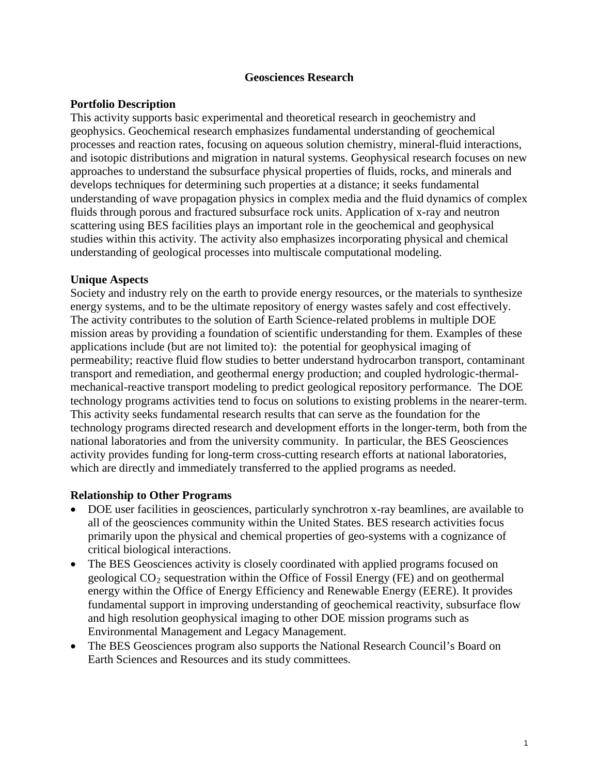### **Geosciences Research**

### **Portfolio Description**

This activity supports basic experimental and theoretical research in geochemistry and geophysics. Geochemical research emphasizes fundamental understanding of geochemical processes and reaction rates, focusing on aqueous solution chemistry, mineral-fluid interactions, and isotopic distributions and migration in natural systems. Geophysical research focuses on new approaches to understand the subsurface physical properties of fluids, rocks, and minerals and develops techniques for determining such properties at a distance; it seeks fundamental understanding of wave propagation physics in complex media and the fluid dynamics of complex fluids through porous and fractured subsurface rock units. Application of x-ray and neutron scattering using BES facilities plays an important role in the geochemical and geophysical studies within this activity. The activity also emphasizes incorporating physical and chemical understanding of geological processes into multiscale computational modeling.

# **Unique Aspects**

Society and industry rely on the earth to provide energy resources, or the materials to synthesize energy systems, and to be the ultimate repository of energy wastes safely and cost effectively. The activity contributes to the solution of Earth Science-related problems in multiple DOE mission areas by providing a foundation of scientific understanding for them. Examples of these applications include (but are not limited to): the potential for geophysical imaging of permeability; reactive fluid flow studies to better understand hydrocarbon transport, contaminant transport and remediation, and geothermal energy production; and coupled hydrologic-thermalmechanical-reactive transport modeling to predict geological repository performance. The DOE technology programs activities tend to focus on solutions to existing problems in the nearer-term. This activity seeks fundamental research results that can serve as the foundation for the technology programs directed research and development efforts in the longer-term, both from the national laboratories and from the university community. In particular, the BES Geosciences activity provides funding for long-term cross-cutting research efforts at national laboratories, which are directly and immediately transferred to the applied programs as needed.

### **Relationship to Other Programs**

- DOE user facilities in geosciences, particularly synchrotron x-ray beamlines, are available to all of the geosciences community within the United States. BES research activities focus primarily upon the physical and chemical properties of geo-systems with a cognizance of critical biological interactions.
- The BES Geosciences activity is closely coordinated with applied programs focused on geological  $CO<sub>2</sub>$  sequestration within the Office of Fossil Energy (FE) and on geothermal energy within the Office of Energy Efficiency and Renewable Energy (EERE). It provides fundamental support in improving understanding of geochemical reactivity, subsurface flow and high resolution geophysical imaging to other DOE mission programs such as Environmental Management and Legacy Management.
- The BES Geosciences program also supports the National Research Council's Board on Earth Sciences and Resources and its study committees.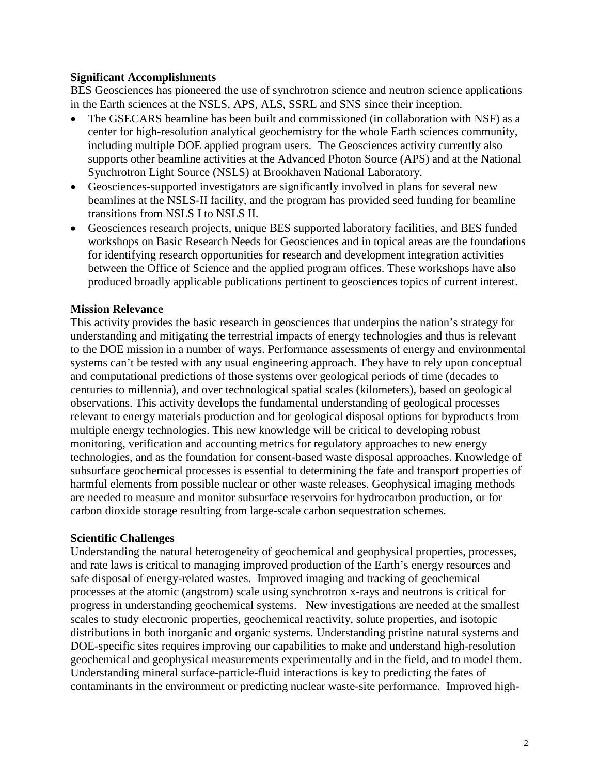### **Significant Accomplishments**

BES Geosciences has pioneered the use of synchrotron science and neutron science applications in the Earth sciences at the NSLS, APS, ALS, SSRL and SNS since their inception.

- The GSECARS beamline has been built and commissioned (in collaboration with NSF) as a center for high-resolution analytical geochemistry for the whole Earth sciences community, including multiple DOE applied program users. The Geosciences activity currently also supports other beamline activities at the Advanced Photon Source (APS) and at the National Synchrotron Light Source (NSLS) at Brookhaven National Laboratory.
- Geosciences-supported investigators are significantly involved in plans for several new beamlines at the NSLS-II facility, and the program has provided seed funding for beamline transitions from NSLS I to NSLS II.
- Geosciences research projects, unique BES supported laboratory facilities, and BES funded workshops on Basic Research Needs for Geosciences and in topical areas are the foundations for identifying research opportunities for research and development integration activities between the Office of Science and the applied program offices. These workshops have also produced broadly applicable publications pertinent to geosciences topics of current interest.

# **Mission Relevance**

This activity provides the basic research in geosciences that underpins the nation's strategy for understanding and mitigating the terrestrial impacts of energy technologies and thus is relevant to the DOE mission in a number of ways. Performance assessments of energy and environmental systems can't be tested with any usual engineering approach. They have to rely upon conceptual and computational predictions of those systems over geological periods of time (decades to centuries to millennia), and over technological spatial scales (kilometers), based on geological observations. This activity develops the fundamental understanding of geological processes relevant to energy materials production and for geological disposal options for byproducts from multiple energy technologies. This new knowledge will be critical to developing robust monitoring, verification and accounting metrics for regulatory approaches to new energy technologies, and as the foundation for consent-based waste disposal approaches. Knowledge of subsurface geochemical processes is essential to determining the fate and transport properties of harmful elements from possible nuclear or other waste releases. Geophysical imaging methods are needed to measure and monitor subsurface reservoirs for hydrocarbon production, or for carbon dioxide storage resulting from large-scale carbon sequestration schemes.

### **Scientific Challenges**

Understanding the natural heterogeneity of geochemical and geophysical properties, processes, and rate laws is critical to managing improved production of the Earth's energy resources and safe disposal of energy-related wastes. Improved imaging and tracking of geochemical processes at the atomic (angstrom) scale using synchrotron x-rays and neutrons is critical for progress in understanding geochemical systems. New investigations are needed at the smallest scales to study electronic properties, geochemical reactivity, solute properties, and isotopic distributions in both inorganic and organic systems. Understanding pristine natural systems and DOE-specific sites requires improving our capabilities to make and understand high-resolution geochemical and geophysical measurements experimentally and in the field, and to model them. Understanding mineral surface-particle-fluid interactions is key to predicting the fates of contaminants in the environment or predicting nuclear waste-site performance. Improved high